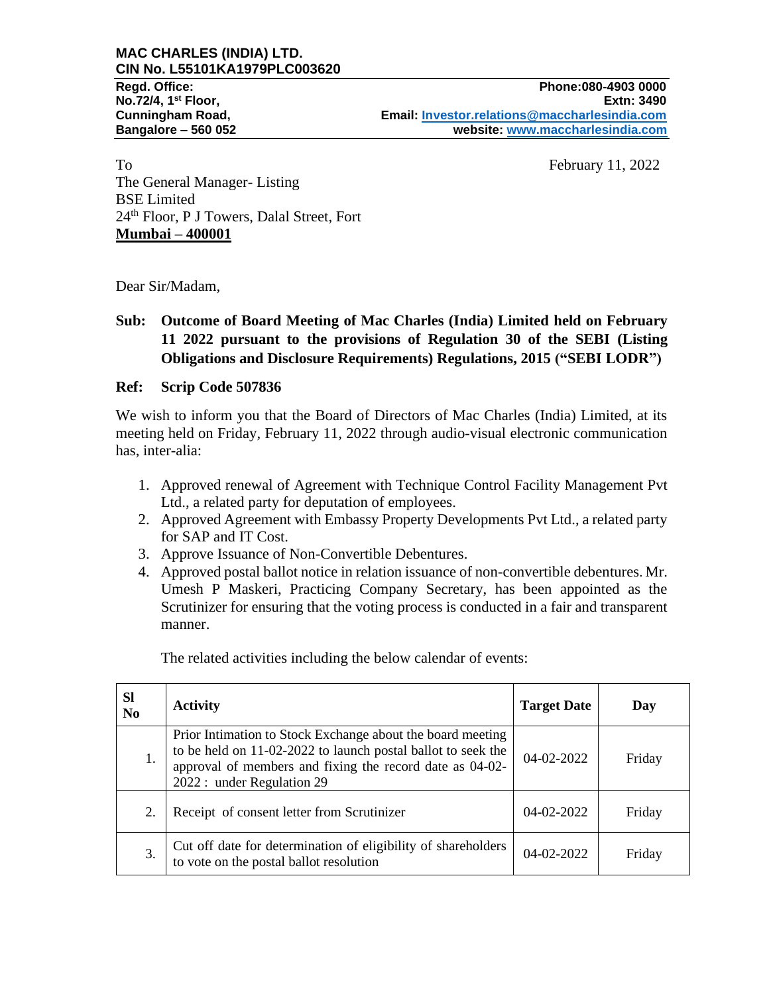To February 11, 2022 The General Manager- Listing BSE Limited 24th Floor, P J Towers, Dalal Street, Fort **Mumbai – 400001**

Dear Sir/Madam,

## **Sub: Outcome of Board Meeting of Mac Charles (India) Limited held on February 11 2022 pursuant to the provisions of Regulation 30 of the SEBI (Listing Obligations and Disclosure Requirements) Regulations, 2015 ("SEBI LODR")**

### **Ref: Scrip Code 507836**

We wish to inform you that the Board of Directors of Mac Charles (India) Limited, at its meeting held on Friday, February 11, 2022 through audio-visual electronic communication has, inter-alia:

- 1. Approved renewal of Agreement with Technique Control Facility Management Pvt Ltd., a related party for deputation of employees.
- 2. Approved Agreement with Embassy Property Developments Pvt Ltd., a related party for SAP and IT Cost.
- 3. Approve Issuance of Non-Convertible Debentures.
- 4. Approved postal ballot notice in relation issuance of non-convertible debentures. Mr. Umesh P Maskeri, Practicing Company Secretary, has been appointed as the Scrutinizer for ensuring that the voting process is conducted in a fair and transparent manner.

The related activities including the below calendar of events:

| <b>Sl</b><br>N <sub>0</sub> | <b>Activity</b>                                                                                                                                                                                                      | <b>Target Date</b> | Day    |
|-----------------------------|----------------------------------------------------------------------------------------------------------------------------------------------------------------------------------------------------------------------|--------------------|--------|
| 1.                          | Prior Intimation to Stock Exchange about the board meeting<br>to be held on 11-02-2022 to launch postal ballot to seek the<br>approval of members and fixing the record date as 04-02-<br>2022 : under Regulation 29 | 04-02-2022         | Friday |
| 2.                          | Receipt of consent letter from Scrutinizer                                                                                                                                                                           | 04-02-2022         | Friday |
| 3.                          | Cut off date for determination of eligibility of shareholders<br>to vote on the postal ballot resolution                                                                                                             | 04-02-2022         | Friday |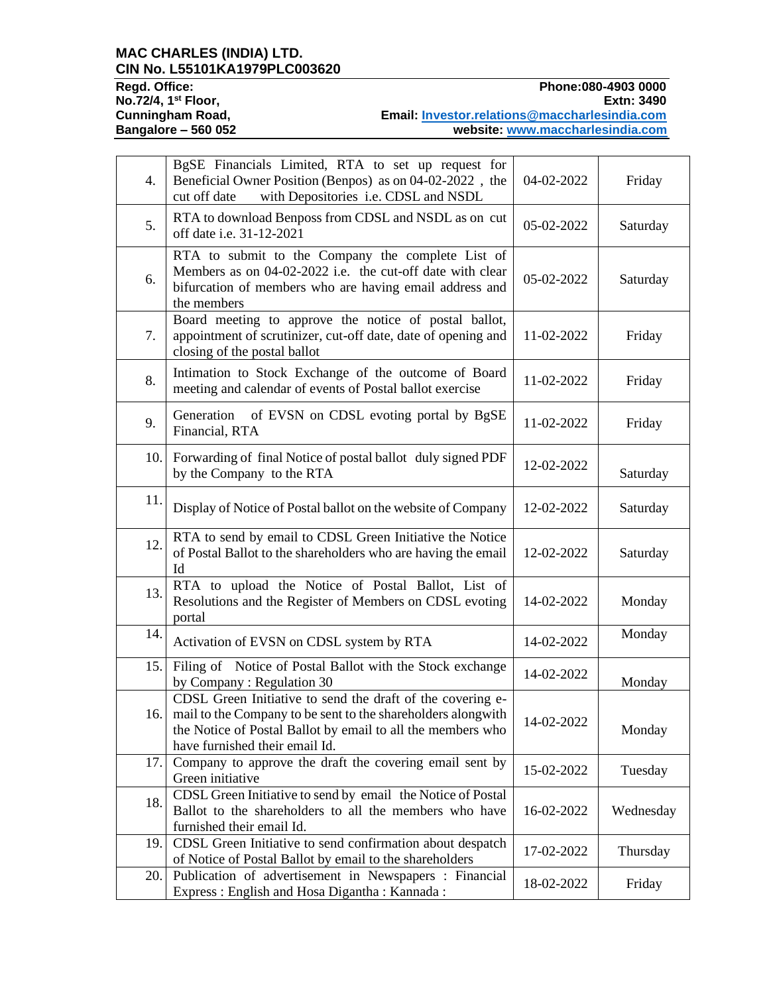#### **MAC CHARLES (INDIA) LTD. CIN No. L55101KA1979PLC003620**

**Regd. Office: Phone:080-4903 0000** Regd. Office: Phone:080-4903 0000<br>No.72/4, 1<sup>st</sup> Floor, Extn: 3490<br>Cunningham Road, Email: <u>Investor.relations@maccharlesindia.com</u><br>Bangalore – 560 052 website: <u>www.maccharlesindia.com</u> **Cunningham Road, Email: [Investor.relations@maccharlesindia.com](mailto:Investor.relations@maccharlesindia.com) Bangalore – 560 052 website: [www.maccharlesindia.com](http://www.maccharlesindia.com/)**

| 4.  | BgSE Financials Limited, RTA to set up request for<br>Beneficial Owner Position (Benpos) as on 04-02-2022, the<br>with Depositories i.e. CDSL and NSDL<br>cut off date                                                             | 04-02-2022 | Friday    |
|-----|------------------------------------------------------------------------------------------------------------------------------------------------------------------------------------------------------------------------------------|------------|-----------|
| 5.  | RTA to download Benposs from CDSL and NSDL as on cut<br>off date i.e. 31-12-2021                                                                                                                                                   | 05-02-2022 | Saturday  |
| 6.  | RTA to submit to the Company the complete List of<br>Members as on 04-02-2022 i.e. the cut-off date with clear<br>bifurcation of members who are having email address and<br>the members                                           | 05-02-2022 | Saturday  |
| 7.  | Board meeting to approve the notice of postal ballot,<br>appointment of scrutinizer, cut-off date, date of opening and<br>closing of the postal ballot                                                                             | 11-02-2022 | Friday    |
| 8.  | Intimation to Stock Exchange of the outcome of Board<br>meeting and calendar of events of Postal ballot exercise                                                                                                                   | 11-02-2022 | Friday    |
| 9.  | Generation<br>of EVSN on CDSL evoting portal by BgSE<br>Financial, RTA                                                                                                                                                             | 11-02-2022 | Friday    |
| 10. | Forwarding of final Notice of postal ballot duly signed PDF<br>by the Company to the RTA                                                                                                                                           | 12-02-2022 | Saturday  |
| 11. | Display of Notice of Postal ballot on the website of Company                                                                                                                                                                       | 12-02-2022 | Saturday  |
| 12. | RTA to send by email to CDSL Green Initiative the Notice<br>of Postal Ballot to the shareholders who are having the email<br>Id                                                                                                    | 12-02-2022 | Saturday  |
| 13. | RTA to upload the Notice of Postal Ballot, List of<br>Resolutions and the Register of Members on CDSL evoting<br>portal                                                                                                            | 14-02-2022 | Monday    |
| 14. | Activation of EVSN on CDSL system by RTA                                                                                                                                                                                           | 14-02-2022 | Monday    |
| 15. | Filing of Notice of Postal Ballot with the Stock exchange<br>by Company: Regulation 30                                                                                                                                             | 14-02-2022 | Monday    |
|     | CDSL Green Initiative to send the draft of the covering e-<br>16.   mail to the Company to be sent to the shareholders along with<br>the Notice of Postal Ballot by email to all the members who<br>have furnished their email Id. | 14-02-2022 | Monday    |
| 17. | Company to approve the draft the covering email sent by<br>Green initiative                                                                                                                                                        | 15-02-2022 | Tuesday   |
| 18. | CDSL Green Initiative to send by email the Notice of Postal<br>Ballot to the shareholders to all the members who have<br>furnished their email Id.                                                                                 | 16-02-2022 | Wednesday |
| 19. | CDSL Green Initiative to send confirmation about despatch<br>of Notice of Postal Ballot by email to the shareholders                                                                                                               | 17-02-2022 | Thursday  |
| 20. | Publication of advertisement in Newspapers : Financial<br>Express: English and Hosa Digantha: Kannada:                                                                                                                             | 18-02-2022 | Friday    |